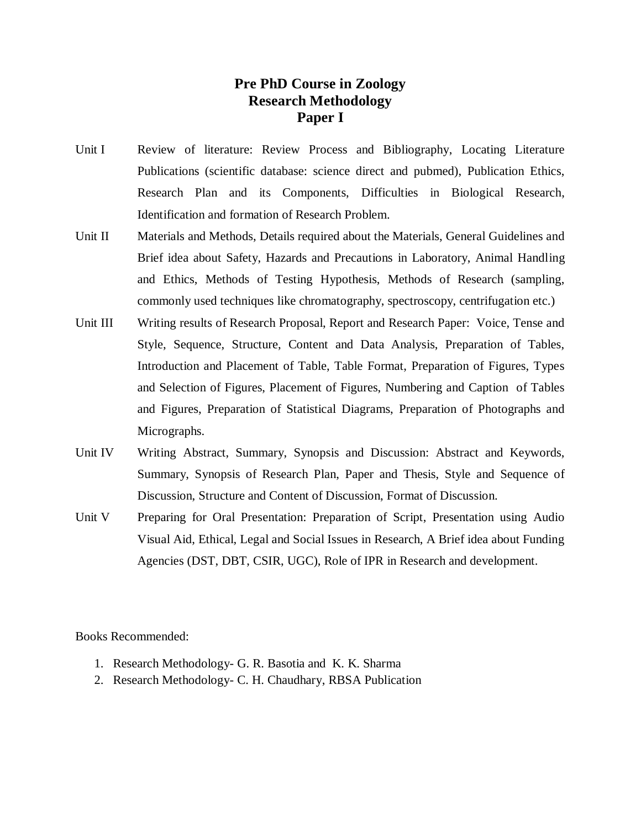## **Pre PhD Course in Zoology Research Methodology Paper I**

- Unit I Review of literature: Review Process and Bibliography, Locating Literature Publications (scientific database: science direct and pubmed), Publication Ethics, Research Plan and its Components, Difficulties in Biological Research, Identification and formation of Research Problem.
- Unit II Materials and Methods, Details required about the Materials, General Guidelines and Brief idea about Safety, Hazards and Precautions in Laboratory, Animal Handling and Ethics, Methods of Testing Hypothesis, Methods of Research (sampling, commonly used techniques like chromatography, spectroscopy, centrifugation etc.)
- Unit III Writing results of Research Proposal, Report and Research Paper: Voice, Tense and Style, Sequence, Structure, Content and Data Analysis, Preparation of Tables, Introduction and Placement of Table, Table Format, Preparation of Figures, Types and Selection of Figures, Placement of Figures, Numbering and Caption of Tables and Figures, Preparation of Statistical Diagrams, Preparation of Photographs and Micrographs.
- Unit IV Writing Abstract, Summary, Synopsis and Discussion: Abstract and Keywords, Summary, Synopsis of Research Plan, Paper and Thesis, Style and Sequence of Discussion, Structure and Content of Discussion, Format of Discussion.
- Unit V Preparing for Oral Presentation: Preparation of Script, Presentation using Audio Visual Aid, Ethical, Legal and Social Issues in Research, A Brief idea about Funding Agencies (DST, DBT, CSIR, UGC), Role of IPR in Research and development.

Books Recommended:

- 1. Research Methodology- G. R. Basotia and K. K. Sharma
- 2. Research Methodology- C. H. Chaudhary, RBSA Publication